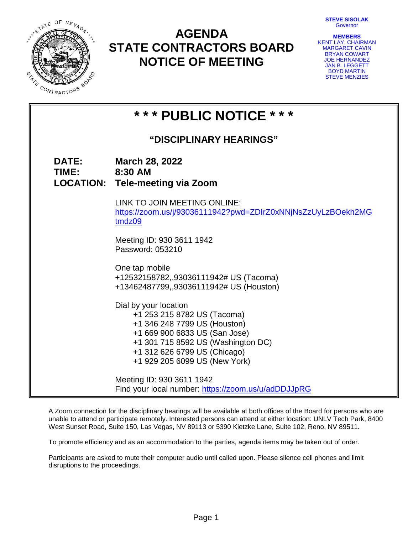**STEVE SISOLAK Governor** 



# **AGENDA STATE CONTRACTORS BOARD NOTICE OF MEETING**

| <b>MEMBERS</b>        |  |
|-----------------------|--|
| KENT LAY, CHAIRMAN    |  |
| <b>MARGARET CAVIN</b> |  |
| <b>BRYAN COWART</b>   |  |
| <b>JOE HERNANDEZ</b>  |  |
| <b>JAN B. LEGGETT</b> |  |
| <b>BOYD MARTIN</b>    |  |
| <b>STEVE MENZIES</b>  |  |

| * * * PUBLIC NOTICE * * *      |                              |                                                                                                                                                                                                                              |  |
|--------------------------------|------------------------------|------------------------------------------------------------------------------------------------------------------------------------------------------------------------------------------------------------------------------|--|
| <b>"DISCIPLINARY HEARINGS"</b> |                              |                                                                                                                                                                                                                              |  |
|                                | <b>DATE:</b><br><b>TIME:</b> | <b>March 28, 2022</b><br>8:30 AM<br><b>LOCATION: Tele-meeting via Zoom</b>                                                                                                                                                   |  |
|                                |                              | LINK TO JOIN MEETING ONLINE:<br>https://zoom.us/j/93036111942?pwd=ZDIrZ0xNNjNsZzUyLzBOekh2MG<br>tmdz09                                                                                                                       |  |
|                                |                              | Meeting ID: 930 3611 1942<br>Password: 053210                                                                                                                                                                                |  |
|                                |                              | One tap mobile<br>+12532158782,,93036111942# US (Tacoma)<br>+13462487799,,93036111942# US (Houston)                                                                                                                          |  |
|                                |                              | Dial by your location<br>+1 253 215 8782 US (Tacoma)<br>+1 346 248 7799 US (Houston)<br>+1 669 900 6833 US (San Jose)<br>+1 301 715 8592 US (Washington DC)<br>+1 312 626 6799 US (Chicago)<br>+1 929 205 6099 US (New York) |  |
|                                |                              | Meeting ID: 930 3611 1942<br>Find your local number: https://zoom.us/u/adDDJJpRG                                                                                                                                             |  |

A Zoom connection for the disciplinary hearings will be available at both offices of the Board for persons who are unable to attend or participate remotely. Interested persons can attend at either location: UNLV Tech Park, 8400 West Sunset Road, Suite 150, Las Vegas, NV 89113 or 5390 Kietzke Lane, Suite 102, Reno, NV 89511.

To promote efficiency and as an accommodation to the parties, agenda items may be taken out of order.  $\overline{a}$ 

Participants are asked to mute their computer audio until called upon. Please silence cell phones and limit disruptions to the proceedings.